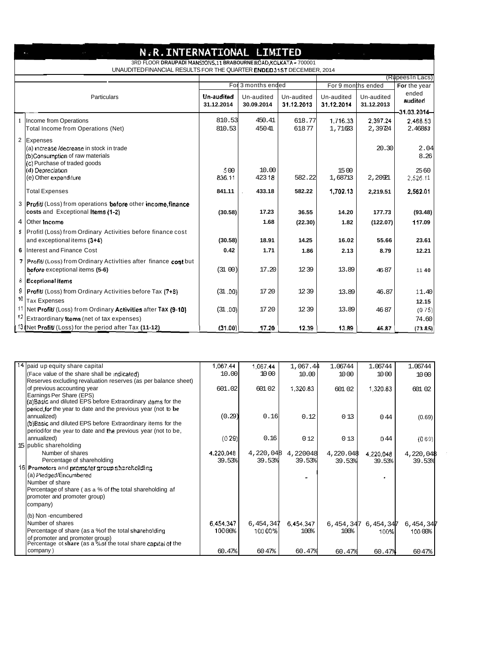| N.R.INTERNATIONAL LIMITED                                                                                                                |                                                                                    |                          |                          |                          |                          |                          |                  |
|------------------------------------------------------------------------------------------------------------------------------------------|------------------------------------------------------------------------------------|--------------------------|--------------------------|--------------------------|--------------------------|--------------------------|------------------|
| 3RD FLOOR DRAUPADI MANSIONS, 11 BRABOURNE ROAD, KOLKATA - 700001<br>UNAUDITEDFINANCIAL RESULTS FOR THE QUARTER ENDED 31ST DECEMBER, 2014 |                                                                                    |                          |                          |                          |                          |                          |                  |
| (Rupees In Lacs)                                                                                                                         |                                                                                    |                          |                          |                          |                          |                          |                  |
|                                                                                                                                          |                                                                                    | For 3 months ended       |                          |                          | For 9 months ended       |                          | For the year     |
| Particulars                                                                                                                              |                                                                                    | Un-audited<br>31.12.2014 | Un-audited<br>30.09.2014 | Un-audited<br>31.12.2013 | Un-audited<br>31.12.2014 | Un-audited<br>31.12.2013 | ended<br>audited |
|                                                                                                                                          |                                                                                    |                          |                          |                          |                          |                          | $-31.03.2014-$   |
|                                                                                                                                          | 1  Income from Operations                                                          | 810.53                   | 450.41                   | 618.77                   | 1,716.33                 | 2,397.24                 | 2,468.53         |
|                                                                                                                                          | Total Income from Operations (Net)                                                 | 810.53                   | 45041                    | 61877                    | 1,7163                   | 2,39724                  | 2.46853          |
| $\overline{2}$                                                                                                                           | Expenses                                                                           |                          |                          |                          |                          |                          |                  |
|                                                                                                                                          | (a) increase /decrease in stock in trade                                           |                          |                          |                          |                          | 20.30                    | 2.04             |
|                                                                                                                                          | (b)Consumption of raw materials<br>(c) Purchase of traded goods                    |                          |                          |                          |                          |                          | 8.26             |
|                                                                                                                                          | (d) Depreciation                                                                   | 500                      | 10.00                    |                          | 15 00                    |                          | 2560             |
|                                                                                                                                          | (e) Other expenditure                                                              | 836.11                   | 423 18                   | 582.22                   | 1,68713                  | 2,20921                  | 2.526.11         |
|                                                                                                                                          | <b>Total Expenses</b>                                                              | 841.11                   | 433.18                   | 582.22                   | 1,702.13                 | 2,219.51                 | 2,562.01         |
|                                                                                                                                          | 3 <b>Profit</b> (Loss) from operations <b>before</b> other <b>income</b> , finance |                          |                          |                          |                          |                          |                  |
|                                                                                                                                          | costs and Exceptional Items (1-2)                                                  | (30.58)                  | 17.23                    | 36.55                    | 14.20                    | 177.73                   | (93.48)          |
|                                                                                                                                          | 4 Other Income                                                                     |                          | 1.68                     | (22.30)                  | 1.82                     | (122.07)                 | 117.09           |
|                                                                                                                                          | 5 Profitl (Loss) from Ordinary Activities before finance cost                      |                          |                          |                          |                          |                          |                  |
|                                                                                                                                          | and exceptional items (3+4)                                                        | (30.58)                  | 18.91                    | 14.25                    | 16.02                    | 55.66                    | 23.61            |
|                                                                                                                                          | 6 Interest and Finance Cost                                                        | 0.42                     | 1.71                     | 1.86                     | 2.13                     | 8.79                     | 12.21            |
|                                                                                                                                          | 7   Profit/ (Loss) from Ordinary Activities after finance cost but                 |                          |                          |                          |                          |                          |                  |
|                                                                                                                                          | before exceptional items (5-6)                                                     | (3100)                   | 17.20                    | 1239                     | 13.89                    | 4687                     | 1140             |
|                                                                                                                                          | 8 Eceptional Items                                                                 |                          |                          |                          |                          |                          |                  |
| 9                                                                                                                                        | <b>Profit</b> (Loss) from Ordinary Activities before Tax (7+8)                     | (31.00)                  | 17 20                    | 12 39                    | 13.89                    | 46.87                    | 11.40            |
| 10                                                                                                                                       | <b>Tax Expenses</b>                                                                |                          |                          |                          |                          |                          | 12.15            |
|                                                                                                                                          | Net Profit/ (Loss) from Ordinary Activities after Tax (9-10)                       | (31.00)                  | 1720                     | 12 39                    | 13.89                    | 46 87                    | (0.75)           |
|                                                                                                                                          | Extraordinary Items (net of tax expenses)                                          |                          |                          |                          |                          |                          | 74.60            |
|                                                                                                                                          | $\int$ 13 (Net Profit/ (Loss) for the period after Tax (11-12)                     | (31.00)                  | 17.20                    | 12.39                    | 13.89                    | 46.87                    | (73.85)          |

| 14 paid up equity share capital                                | 1,067.44  | 1.067.44  | 1,067.44  | 1.06744   | 1.06744   | 1.06744   |
|----------------------------------------------------------------|-----------|-----------|-----------|-----------|-----------|-----------|
| (Face value of the share shall be indicated)                   | 10.00     | 10 00     | 10.00     | 10 00     | 10 00     | 10 00     |
| Reserves excluding revaluation reserves (as per balance sheet) |           |           |           |           |           |           |
| of previous accounting year                                    | 601.02    | 601 02    | 1,320.83  | 601 02    | 1,320.83  | 601 02    |
| Earnings Per Share (EPS)                                       |           |           |           |           |           |           |
| (a) Basic and diluted EPS before Extraordinary items for the   |           |           |           |           |           |           |
| period for the year to date and the previous year (not to be   |           |           |           |           |           |           |
| annualized)                                                    | (0.29)    | 0.16      | 0.12      | 013       | 0.44      | (0.69)    |
| (b) Basic and diluted EPS before Extraordinary items for the   |           |           |           |           |           |           |
| period for the year to date and the previous year (not to be,  |           |           |           |           |           |           |
| annualized)                                                    | (0.29)    | 0.16      | 0 1 2     | 013       | D 44      | (0.69)    |
| 15 public shareholding                                         |           |           |           |           |           |           |
| Number of shares                                               | 4,220,048 | 4,220,048 | 4,220048  | 4,220.048 | 4,220,048 | 4,220,048 |
| Percentage of shareholding                                     | 39.53%    | 39.53%    | 39.53%    | 39.53%    | 39.53%    | 39.53%    |
| 16 Promoters and promoter group shareholding                   |           |           |           |           |           |           |
| (a) Piedged/Encumbered                                         |           |           |           |           |           |           |
| Number of share                                                |           |           |           |           |           |           |
| Percentage of share (as a % of the total shareholding af       |           |           |           |           |           |           |
| (promoter and promoter group)                                  |           |           |           |           |           |           |
| (company)                                                      |           |           |           |           |           |           |
| (b) Non-encumbered                                             |           |           |           |           |           |           |
| Number of shares                                               | 6.454.347 | 6,454,347 | 6.454.347 | 6,454,347 | 6,454,347 | 6,454,347 |
| Percentage of share (as a %of the total shareholding           | 100 00%   | 100 00%   | 100%      | 100%      | 100%l     | 100 00%   |
| of promoter and promoter group)                                |           |           |           |           |           |           |
| Percentage ot share (as a %of the total share capital of the   |           |           |           |           |           |           |
| company)                                                       | 60.47%    | 60 47%    | 60.47%    | 60.47%    | 60.47%    | 6047%     |